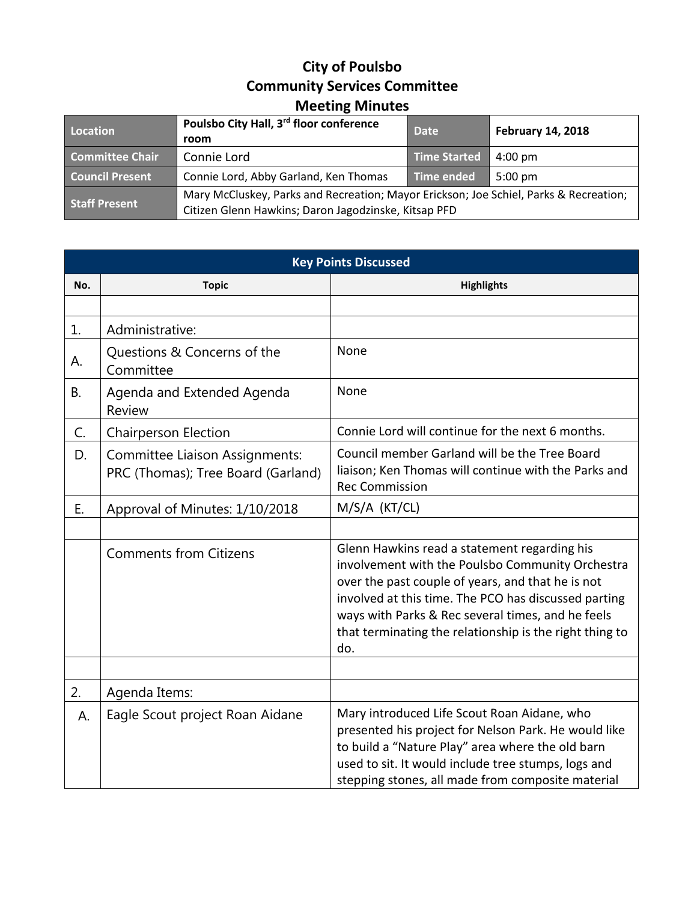## **City of Poulsbo Community Services Committee Meeting Minutes**

| Location               | Poulsbo City Hall, 3 <sup>rd</sup> floor conference<br>room                                                                                   | <b>Date</b>         | <b>February 14, 2018</b> |
|------------------------|-----------------------------------------------------------------------------------------------------------------------------------------------|---------------------|--------------------------|
| <b>Committee Chair</b> | Connie Lord                                                                                                                                   | <b>Time Started</b> | $4:00 \text{ pm}$        |
| <b>Council Present</b> | Connie Lord, Abby Garland, Ken Thomas                                                                                                         | Time ended          | $5:00 \text{ pm}$        |
| <b>Staff Present</b>   | Mary McCluskey, Parks and Recreation; Mayor Erickson; Joe Schiel, Parks & Recreation;<br>Citizen Glenn Hawkins; Daron Jagodzinske, Kitsap PFD |                     |                          |

| <b>Key Points Discussed</b> |                                                                             |                                                                                                                                                                                                                                                                                                                                      |
|-----------------------------|-----------------------------------------------------------------------------|--------------------------------------------------------------------------------------------------------------------------------------------------------------------------------------------------------------------------------------------------------------------------------------------------------------------------------------|
| No.                         | <b>Topic</b>                                                                | <b>Highlights</b>                                                                                                                                                                                                                                                                                                                    |
|                             |                                                                             |                                                                                                                                                                                                                                                                                                                                      |
| 1.                          | Administrative:                                                             |                                                                                                                                                                                                                                                                                                                                      |
| А.                          | Questions & Concerns of the<br>Committee                                    | None                                                                                                                                                                                                                                                                                                                                 |
| <b>B.</b>                   | Agenda and Extended Agenda<br><b>Review</b>                                 | None                                                                                                                                                                                                                                                                                                                                 |
| C.                          | Chairperson Election                                                        | Connie Lord will continue for the next 6 months.                                                                                                                                                                                                                                                                                     |
| D.                          | <b>Committee Liaison Assignments:</b><br>PRC (Thomas); Tree Board (Garland) | Council member Garland will be the Tree Board<br>liaison; Ken Thomas will continue with the Parks and<br><b>Rec Commission</b>                                                                                                                                                                                                       |
| Ε.                          | Approval of Minutes: 1/10/2018                                              | M/S/A (KT/CL)                                                                                                                                                                                                                                                                                                                        |
|                             |                                                                             |                                                                                                                                                                                                                                                                                                                                      |
|                             | <b>Comments from Citizens</b>                                               | Glenn Hawkins read a statement regarding his<br>involvement with the Poulsbo Community Orchestra<br>over the past couple of years, and that he is not<br>involved at this time. The PCO has discussed parting<br>ways with Parks & Rec several times, and he feels<br>that terminating the relationship is the right thing to<br>do. |
|                             |                                                                             |                                                                                                                                                                                                                                                                                                                                      |
| 2.                          | Agenda Items:                                                               |                                                                                                                                                                                                                                                                                                                                      |
| А.                          | Eagle Scout project Roan Aidane                                             | Mary introduced Life Scout Roan Aidane, who<br>presented his project for Nelson Park. He would like<br>to build a "Nature Play" area where the old barn<br>used to sit. It would include tree stumps, logs and<br>stepping stones, all made from composite material                                                                  |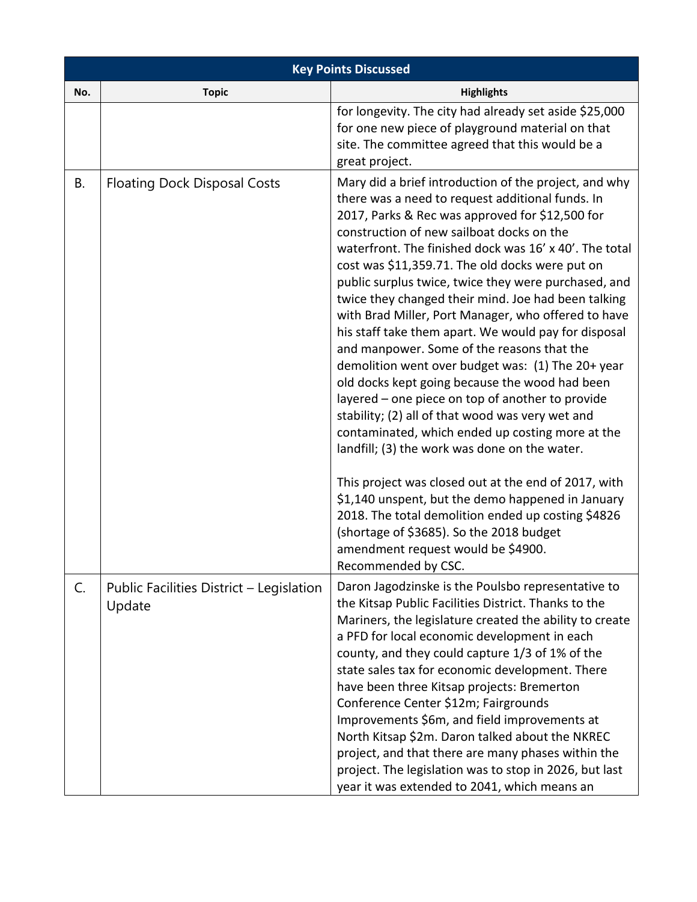| <b>Key Points Discussed</b> |                                                    |                                                                                                                                                                                                                                                                                                                                                                                                                                                                                                                                                                                                                                                                                                                                                                                                                                                                                                                                                                                                                                                                                                                                                                                                    |
|-----------------------------|----------------------------------------------------|----------------------------------------------------------------------------------------------------------------------------------------------------------------------------------------------------------------------------------------------------------------------------------------------------------------------------------------------------------------------------------------------------------------------------------------------------------------------------------------------------------------------------------------------------------------------------------------------------------------------------------------------------------------------------------------------------------------------------------------------------------------------------------------------------------------------------------------------------------------------------------------------------------------------------------------------------------------------------------------------------------------------------------------------------------------------------------------------------------------------------------------------------------------------------------------------------|
| No.                         | <b>Topic</b>                                       | <b>Highlights</b>                                                                                                                                                                                                                                                                                                                                                                                                                                                                                                                                                                                                                                                                                                                                                                                                                                                                                                                                                                                                                                                                                                                                                                                  |
|                             |                                                    | for longevity. The city had already set aside \$25,000<br>for one new piece of playground material on that<br>site. The committee agreed that this would be a<br>great project.                                                                                                                                                                                                                                                                                                                                                                                                                                                                                                                                                                                                                                                                                                                                                                                                                                                                                                                                                                                                                    |
| В.                          | <b>Floating Dock Disposal Costs</b>                | Mary did a brief introduction of the project, and why<br>there was a need to request additional funds. In<br>2017, Parks & Rec was approved for \$12,500 for<br>construction of new sailboat docks on the<br>waterfront. The finished dock was 16' x 40'. The total<br>cost was \$11,359.71. The old docks were put on<br>public surplus twice, twice they were purchased, and<br>twice they changed their mind. Joe had been talking<br>with Brad Miller, Port Manager, who offered to have<br>his staff take them apart. We would pay for disposal<br>and manpower. Some of the reasons that the<br>demolition went over budget was: (1) The 20+ year<br>old docks kept going because the wood had been<br>layered – one piece on top of another to provide<br>stability; (2) all of that wood was very wet and<br>contaminated, which ended up costing more at the<br>landfill; (3) the work was done on the water.<br>This project was closed out at the end of 2017, with<br>\$1,140 unspent, but the demo happened in January<br>2018. The total demolition ended up costing \$4826<br>(shortage of \$3685). So the 2018 budget<br>amendment request would be \$4900.<br>Recommended by CSC. |
| C.                          | Public Facilities District - Legislation<br>Update | Daron Jagodzinske is the Poulsbo representative to<br>the Kitsap Public Facilities District. Thanks to the<br>Mariners, the legislature created the ability to create<br>a PFD for local economic development in each<br>county, and they could capture 1/3 of 1% of the<br>state sales tax for economic development. There<br>have been three Kitsap projects: Bremerton<br>Conference Center \$12m; Fairgrounds<br>Improvements \$6m, and field improvements at<br>North Kitsap \$2m. Daron talked about the NKREC<br>project, and that there are many phases within the<br>project. The legislation was to stop in 2026, but last<br>year it was extended to 2041, which means an                                                                                                                                                                                                                                                                                                                                                                                                                                                                                                               |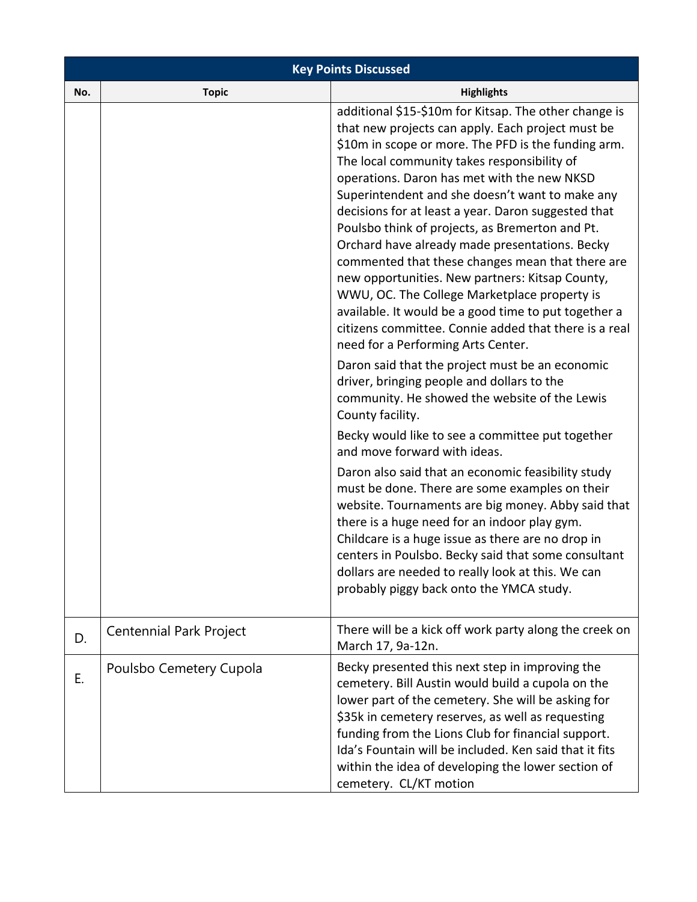| <b>Key Points Discussed</b> |                                |                                                                                                                                                                                                                                                                                                                                                                                                                                                                                                                                                                                                                                                                                                                                                                                              |  |  |
|-----------------------------|--------------------------------|----------------------------------------------------------------------------------------------------------------------------------------------------------------------------------------------------------------------------------------------------------------------------------------------------------------------------------------------------------------------------------------------------------------------------------------------------------------------------------------------------------------------------------------------------------------------------------------------------------------------------------------------------------------------------------------------------------------------------------------------------------------------------------------------|--|--|
| No.                         | <b>Topic</b>                   | <b>Highlights</b>                                                                                                                                                                                                                                                                                                                                                                                                                                                                                                                                                                                                                                                                                                                                                                            |  |  |
|                             |                                | additional \$15-\$10m for Kitsap. The other change is<br>that new projects can apply. Each project must be<br>\$10m in scope or more. The PFD is the funding arm.<br>The local community takes responsibility of<br>operations. Daron has met with the new NKSD<br>Superintendent and she doesn't want to make any<br>decisions for at least a year. Daron suggested that<br>Poulsbo think of projects, as Bremerton and Pt.<br>Orchard have already made presentations. Becky<br>commented that these changes mean that there are<br>new opportunities. New partners: Kitsap County,<br>WWU, OC. The College Marketplace property is<br>available. It would be a good time to put together a<br>citizens committee. Connie added that there is a real<br>need for a Performing Arts Center. |  |  |
|                             |                                | Daron said that the project must be an economic<br>driver, bringing people and dollars to the<br>community. He showed the website of the Lewis<br>County facility.                                                                                                                                                                                                                                                                                                                                                                                                                                                                                                                                                                                                                           |  |  |
|                             |                                | Becky would like to see a committee put together<br>and move forward with ideas.                                                                                                                                                                                                                                                                                                                                                                                                                                                                                                                                                                                                                                                                                                             |  |  |
|                             |                                | Daron also said that an economic feasibility study<br>must be done. There are some examples on their<br>website. Tournaments are big money. Abby said that<br>there is a huge need for an indoor play gym.<br>Childcare is a huge issue as there are no drop in<br>centers in Poulsbo. Becky said that some consultant<br>dollars are needed to really look at this. We can<br>probably piggy back onto the YMCA study.                                                                                                                                                                                                                                                                                                                                                                      |  |  |
| D.                          | <b>Centennial Park Project</b> | There will be a kick off work party along the creek on<br>March 17, 9a-12n.                                                                                                                                                                                                                                                                                                                                                                                                                                                                                                                                                                                                                                                                                                                  |  |  |
| E.                          | Poulsbo Cemetery Cupola        | Becky presented this next step in improving the<br>cemetery. Bill Austin would build a cupola on the<br>lower part of the cemetery. She will be asking for<br>\$35k in cemetery reserves, as well as requesting<br>funding from the Lions Club for financial support.<br>Ida's Fountain will be included. Ken said that it fits<br>within the idea of developing the lower section of<br>cemetery. CL/KT motion                                                                                                                                                                                                                                                                                                                                                                              |  |  |